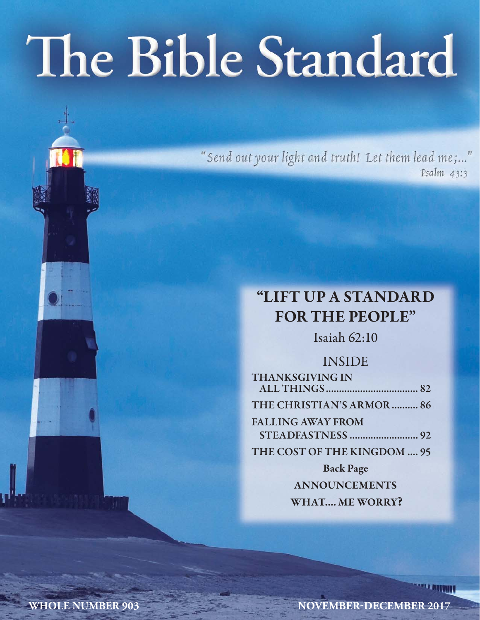# The Bible Standard

"Send out your light and truth! Let them lead me;..." Psalm 43:3

## **"LIFT UP A STANDARD FOR THE PEOPLE"**

Isaiah 62:10

### INSIDE

| <b>THANKSGIVING IN</b>      |  |
|-----------------------------|--|
|                             |  |
| THE CHRISTIAN'S ARMOR  86   |  |
| <b>FALLING AWAY FROM</b>    |  |
|                             |  |
| THE COST OF THE KINGDOM  95 |  |
| <b>Back Page</b>            |  |

**ANNOUNCEMENTS WHAT.... ME WORRY?**

**WHOLE NUMBER 903** NOVEMBER-DECEMBER 2017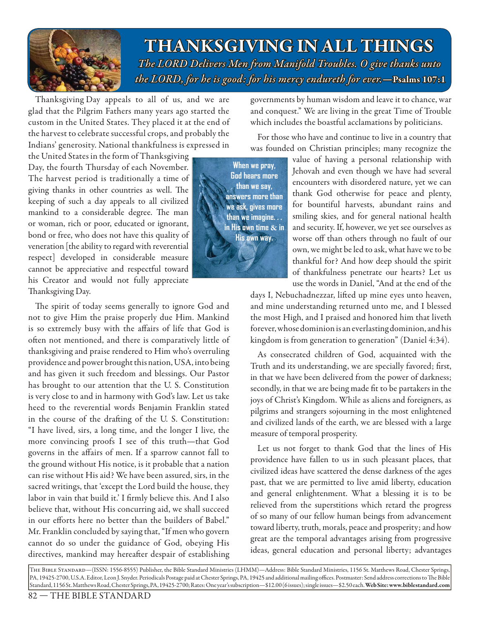

**THANKSGIVING IN ALL THINGS** *The LORD Delivers Men from Manifold Troubles. O give thanks unto he unto the LORD, for he is good: for his mercy endureth for ever.* — Psalms 107:1

Thanksgiving Day appeals to all of us, and we are glad that the Pilgrim Fathers many years ago started the custom in the United States. They placed it at the end of the harvest to celebrate successful crops, and probably the Indians' generosity. National thankfulness is expressed in

the United States in the form of Thanksgiving Day, the fourth Thursday of each November. The harvest period is traditionally a time of giving thanks in other countries as well. The keeping of such a day appeals to all civilized mankind to a considerable degree. The man or woman, rich or poor, educated or ignorant, bond or free, who does not have this quality of veneration [the ability to regard with reverential respect] developed in considerable measure cannot be appreciative and respectful toward his Creator and would not fully appreciate Thanksgiving Day.

The spirit of today seems generally to ignore God and not to give Him the praise properly due Him. Mankind is so extremely busy with the affairs of life that God is often not mentioned, and there is comparatively little of thanksgiving and praise rendered to Him who's overruling providence and power brought this nation, USA, into being and has given it such freedom and blessings. Our Pastor has brought to our attention that the U. S. Constitution is very close to and in harmony with God's law. Let us take heed to the reverential words Benjamin Franklin stated in the course of the drafting of the U.S. Constitution: "I have lived, sirs, a long time, and the longer I live, the more convincing proofs I see of this truth—that God governs in the affairs of men. If a sparrow cannot fall to the ground without His notice, is it probable that a nation can rise without His aid? We have been assured, sirs, in the sacred writings, that 'except the Lord build the house, they labor in vain that build it.' I firmly believe this. And I also believe that, without His concurring aid, we shall succeed in our efforts here no better than the builders of Babel." Mr. Franklin concluded by saying that, "If men who govern cannot do so under the guidance of God, obeying His directives, mankind may hereafter despair of establishing

governments by human wisdom and leave it to chance, war and conquest." We are living in the great Time of Trouble which includes the boastful acclamations by politicians.

For those who have and continue to live in a country that was founded on Christian principles; many recognize the

**When we pray, God hears more than we say, answers more than we ask, gives more than we imagine. . . in His own time & in His own way.**

value of having a personal relationship with Jehovah and even though we have had several encounters with disordered nature, yet we can thank God otherwise for peace and plenty, for bountiful harvests, abundant rains and smiling skies, and for general national health and security. If, however, we yet see ourselves as worse off than others through no fault of our own, we might be led to ask, what have we to be thankful for? And how deep should the spirit of thankfulness penetrate our hearts? Let us use the words in Daniel, "And at the end of the

days I, Nebuchadnezzar, lifted up mine eyes unto heaven, and mine understanding returned unto me, and I blessed the most High, and I praised and honored him that liveth forever, whose dominion is an everlasting dominion, and his kingdom is from generation to generation" (Daniel 4:34).

As consecrated children of God, acquainted with the Truth and its understanding, we are specially favored; first, in that we have been delivered from the power of darkness; secondly, in that we are being made fit to be partakers in the joys of Christ's Kingdom. While as aliens and foreigners, as pilgrims and strangers sojourning in the most enlightened and civilized lands of the earth, we are blessed with a large measure of temporal prosperity.

Let us not forget to thank God that the lines of His providence have fallen to us in such pleasant places, that civilized ideas have scattered the dense darkness of the ages past, that we are permitted to live amid liberty, education and general enlightenment. What a blessing it is to be relieved from the superstitions which retard the progress of so many of our fellow human beings from advancement toward liberty, truth, morals, peace and prosperity; and how great are the temporal advantages arising from progressive ideas, general education and personal liberty; advantages

The Bible Standard—(ISSN: 1556-8555) Publisher, the Bible Standard Ministries (LHMM)—Address: Bible Standard Ministries, 1156 St. Matthews Road, Chester Springs, PA, 19425-2700, U.S.A. Editor, Leon J. Snyder. Periodicals Postage paid at Chester Springs, PA, 19425 and additional mailing offices. Postmaster: Send address corrections to The Bible Standard, 1156 St. Matthews Road, Chester Springs, PA, 19425-2700; Rates: One year's subscription—\$12.00 (6 issues); single issues—\$2.50 each. **Web Site: www.biblestandard.com**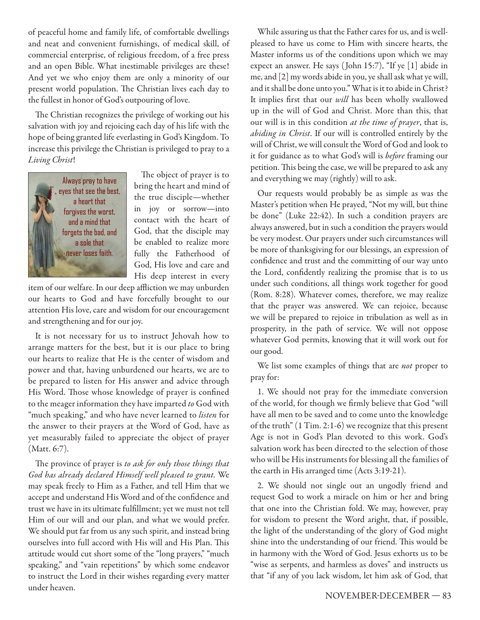of peaceful home and family life, of comfortable dwellings and neat and convenient furnishings, of medical skill, of commercial enterprise, of religious freedom, of a free press and an open Bible. What inestimable privileges are these! And yet we who enjoy them are only a minority of our present world population. The Christian lives each day to the fullest in honor of God's outpouring of love.

The Christian recognizes the privilege of working out his salvation with joy and rejoicing each day of his life with the hope of being granted life everlasting in God's Kingdom. To increase this privilege the Christian is privileged to pray to a *Living Christ*!



The object of prayer is to bring the heart and mind of the true disciple—whether in joy or sorrow—into contact with the heart of God, that the disciple may be enabled to realize more fully the Fatherhood of God, His love and care and His deep interest in every

item of our welfare. In our deep affliction we may unburden our hearts to God and have forcefully brought to our attention His love, care and wisdom for our encouragement and strengthening and for our joy.

It is not necessary for us to instruct Jehovah how to arrange matters for the best, but it is our place to bring our hearts to realize that He is the center of wisdom and power and that, having unburdened our hearts, we are to be prepared to listen for His answer and advice through His Word. Those whose knowledge of prayer is confined to the meager information they have imparted *to* God with "much speaking," and who have never learned to *listen* for the answer to their prayers at the Word of God, have as yet measurably failed to appreciate the object of prayer (Matt. 6:7).

The province of prayer is *to ask for only those things that God has already declared Himself well pleased to grant.* We may speak freely to Him as a Father, and tell Him that we accept and understand His Word and of the confidence and trust we have in its ultimate fulfillment; yet we must not tell Him of our will and our plan, and what we would prefer. We should put far from us any such spirit, and instead bring ourselves into full accord with His will and His Plan. This attitude would cut short some of the "long prayers," "much speaking," and "vain repetitions" by which some endeavor to instruct the Lord in their wishes regarding every matter under heaven.

While assuring us that the Father cares for us, and is wellpleased to have us come to Him with sincere hearts, the Master informs us of the conditions upon which we may expect an answer. He says ( John 15:7), "If ye [1] abide in me, and [2] my words abide in you, ye shall ask what ye will, and it shall be done unto you." What is it to abide in Christ? It implies first that our *will* has been wholly swallowed up in the will of God and Christ. More than this, that our will is in this condition *at the time of prayer*, that is, *abiding in Christ*. If our will is controlled entirely by the will of Christ, we will consult the Word of God and look to it for guidance as to what God's will is *before* framing our petition. This being the case, we will be prepared to ask any and everything we may (rightly) will to ask.

Our requests would probably be as simple as was the Master's petition when He prayed, "Not my will, but thine be done" (Luke 22:42). In such a condition prayers are always answered, but in such a condition the prayers would be very modest. Our prayers under such circumstances will be more of thanksgiving for our blessings, an expression of confidence and trust and the committing of our way unto the Lord, confidently realizing the promise that is to us under such conditions, all things work together for good (Rom. 8:28). Whatever comes, therefore, we may realize that the prayer was answered. We can rejoice, because we will be prepared to rejoice in tribulation as well as in prosperity, in the path of service. We will not oppose whatever God permits, knowing that it will work out for our good.

We list some examples of things that are *not* proper to pray for:

1. We should not pray for the immediate conversion of the world, for though we firmly believe that God "will have all men to be saved and to come unto the knowledge of the truth" (1 Tim. 2:1-6) we recognize that this present Age is not in God's Plan devoted to this work. God's salvation work has been directed to the selection of those who will be His instruments for blessing all the families of the earth in His arranged time (Acts 3:19-21).

2. We should not single out an ungodly friend and request God to work a miracle on him or her and bring that one into the Christian fold. We may, however, pray for wisdom to present the Word aright, that, if possible, the light of the understanding of the glory of God might shine into the understanding of our friend. This would be in harmony with the Word of God. Jesus exhorts us to be "wise as serpents, and harmless as doves" and instructs us that "if any of you lack wisdom, let him ask of God, that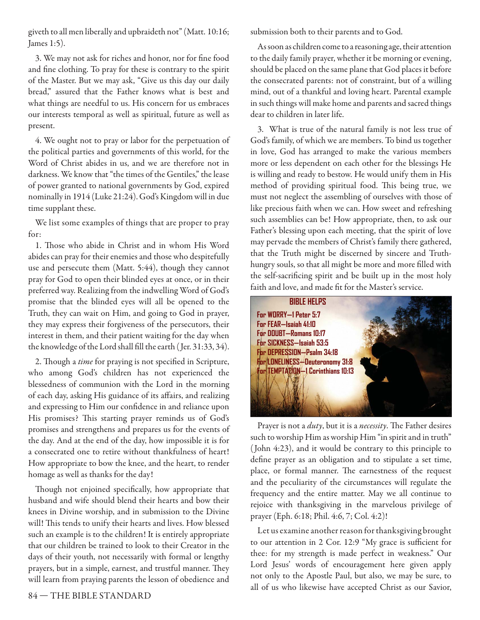giveth to all men liberally and upbraideth not" (Matt. 10:16; James 1:5).

3. We may not ask for riches and honor, nor for fine food and fine clothing. To pray for these is contrary to the spirit of the Master. But we may ask, "Give us this day our daily bread," assured that the Father knows what is best and what things are needful to us. His concern for us embraces our interests temporal as well as spiritual, future as well as present.

4. We ought not to pray or labor for the perpetuation of the political parties and governments of this world, for the Word of Christ abides in us, and we are therefore not in darkness. We know that "the times of the Gentiles," the lease of power granted to national governments by God, expired nominally in 1914 (Luke 21:24). God's Kingdom will in due time supplant these.

We list some examples of things that are proper to pray for:

1. Those who abide in Christ and in whom His Word abides can pray for their enemies and those who despitefully use and persecute them (Matt. 5:44), though they cannot pray for God to open their blinded eyes at once, or in their preferred way. Realizing from the indwelling Word of God's promise that the blinded eyes will all be opened to the Truth, they can wait on Him, and going to God in prayer, they may express their forgiveness of the persecutors, their interest in them, and their patient waiting for the day when the knowledge of the Lord shall fill the earth (Jer. 31:33, 34).

2. Though a *time* for praying is not specified in Scripture, who among God's children has not experienced the blessedness of communion with the Lord in the morning of each day, asking His guidance of its affairs, and realizing and expressing to Him our confidence in and reliance upon His promises? This starting prayer reminds us of God's promises and strengthens and prepares us for the events of the day. And at the end of the day, how impossible it is for a consecrated one to retire without thankfulness of heart! How appropriate to bow the knee, and the heart, to render homage as well as thanks for the day!

Though not enjoined specifically, how appropriate that husband and wife should blend their hearts and bow their knees in Divine worship, and in submission to the Divine will! This tends to unify their hearts and lives. How blessed such an example is to the children! It is entirely appropriate that our children be trained to look to their Creator in the days of their youth, not necessarily with formal or lengthy prayers, but in a simple, earnest, and trustful manner. They will learn from praying parents the lesson of obedience and

submission both to their parents and to God.

As soon as children come to a reasoning age, their attention to the daily family prayer, whether it be morning or evening, should be placed on the same plane that God places it before the consecrated parents: not of constraint, but of a willing mind, out of a thankful and loving heart. Parental example in such things will make home and parents and sacred things dear to children in later life.

3. What is true of the natural family is not less true of God's family, of which we are members. To bind us together in love, God has arranged to make the various members more or less dependent on each other for the blessings He is willing and ready to bestow. He would unify them in His method of providing spiritual food. This being true, we must not neglect the assembling of ourselves with those of like precious faith when we can. How sweet and refreshing such assemblies can be! How appropriate, then, to ask our Father's blessing upon each meeting, that the spirit of love may pervade the members of Christ's family there gathered, that the Truth might be discerned by sincere and Truthhungry souls, so that all might be more and more filled with the self-sacrificing spirit and be built up in the most holy faith and love, and made fit for the Master's service.



Prayer is not a *duty*, but it is a *necessity*. The Father desires such to worship Him as worship Him "in spirit and in truth" ( John 4:23), and it would be contrary to this principle to define prayer as an obligation and to stipulate a set time, place, or formal manner. The earnestness of the request and the peculiarity of the circumstances will regulate the frequency and the entire matter. May we all continue to rejoice with thanksgiving in the marvelous privilege of prayer (Eph. 6:18; Phil. 4:6, 7; Col. 4:2)!

Let us examine another reason for thanksgiving brought to our attention in 2 Cor. 12:9 "My grace is sufficient for thee: for my strength is made perfect in weakness." Our Lord Jesus' words of encouragement here given apply not only to the Apostle Paul, but also, we may be sure, to all of us who likewise have accepted Christ as our Savior,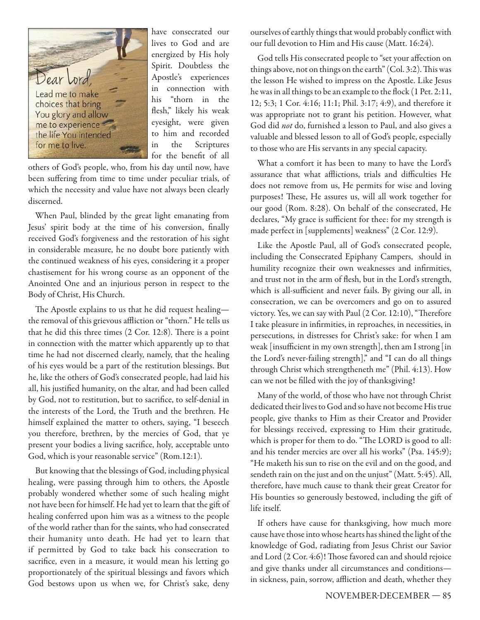

have consecrated our lives to God and are energized by His holy Spirit. Doubtless the Apostle's experiences in connection with his "thorn in the flesh," likely his weak eyesight, were given to him and recorded in the Scriptures for the benefit of all

others of God's people, who, from his day until now, have been suffering from time to time under peculiar trials, of which the necessity and value have not always been clearly discerned.

When Paul, blinded by the great light emanating from Jesus' spirit body at the time of his conversion, finally received God's forgiveness and the restoration of his sight in considerable measure, he no doubt bore patiently with the continued weakness of his eyes, considering it a proper chastisement for his wrong course as an opponent of the Anointed One and an injurious person in respect to the Body of Christ, His Church.

The Apostle explains to us that he did request healingthe removal of this grievous affliction or "thorn." He tells us that he did this three times  $(2 \text{ Cor. } 12.8)$ . There is a point in connection with the matter which apparently up to that time he had not discerned clearly, namely, that the healing of his eyes would be a part of the restitution blessings. But he, like the others of God's consecrated people, had laid his all, his justified humanity, on the altar, and had been called by God, not to restitution, but to sacrifice, to self-denial in the interests of the Lord, the Truth and the brethren. He himself explained the matter to others, saying, "I beseech you therefore, brethren, by the mercies of God, that ye present your bodies a living sacrifice, holy, acceptable unto God, which is your reasonable service" (Rom.12:1).

But knowing that the blessings of God, including physical healing, were passing through him to others, the Apostle probably wondered whether some of such healing might not have been for himself. He had yet to learn that the gift of healing conferred upon him was as a witness to the people of the world rather than for the saints, who had consecrated their humanity unto death. He had yet to learn that if permitted by God to take back his consecration to sacrifice, even in a measure, it would mean his letting go proportionately of the spiritual blessings and favors which God bestows upon us when we, for Christ's sake, deny

ourselves of earthly things that would probably conflict with our full devotion to Him and His cause (Matt. 16:24).

God tells His consecrated people to "set your affection on things above, not on things on the earth" (Col. 3:2). This was the lesson He wished to impress on the Apostle. Like Jesus he was in all things to be an example to the flock (1 Pet. 2:11, 12; 5:3; 1 Cor. 4:16; 11:1; Phil. 3:17; 4:9), and therefore it was appropriate not to grant his petition. However, what God did *not* do, furnished a lesson to Paul, and also gives a valuable and blessed lesson to all of God's people, especially to those who are His servants in any special capacity.

What a comfort it has been to many to have the Lord's assurance that what afflictions, trials and difficulties He does not remove from us, He permits for wise and loving purposes! These, He assures us, will all work together for our good (Rom. 8:28). On behalf of the consecrated, He declares, "My grace is sufficient for thee: for my strength is made perfect in [supplements] weakness" (2 Cor. 12:9).

Like the Apostle Paul, all of God's consecrated people, including the Consecrated Epiphany Campers, should in humility recognize their own weaknesses and infirmities, and trust not in the arm of flesh, but in the Lord's strength, which is all-sufficient and never fails. By giving our all, in consecration, we can be overcomers and go on to assured victory. Yes, we can say with Paul  $(2$  Cor. 12:10), "Therefore I take pleasure in infirmities, in reproaches, in necessities, in persecutions, in distresses for Christ's sake: for when I am weak [insufficient in my own strength], then am I strong [in the Lord's never-failing strength]," and "I can do all things through Christ which strengtheneth me" (Phil. 4:13). How can we not be filled with the joy of thanksgiving!

Many of the world, of those who have not through Christ dedicated their lives to God and so have not become His true people, give thanks to Him as their Creator and Provider for blessings received, expressing to Him their gratitude, which is proper for them to do. "The LORD is good to all: and his tender mercies are over all his works" (Psa. 145:9); "He maketh his sun to rise on the evil and on the good, and sendeth rain on the just and on the unjust" (Matt. 5:45). All, therefore, have much cause to thank their great Creator for His bounties so generously bestowed, including the gift of life itself.

If others have cause for thanksgiving, how much more cause have those into whose hearts has shined the light of the knowledge of God, radiating from Jesus Christ our Savior and Lord (2 Cor. 4:6)! Those favored can and should rejoice and give thanks under all circumstances and conditions in sickness, pain, sorrow, affliction and death, whether they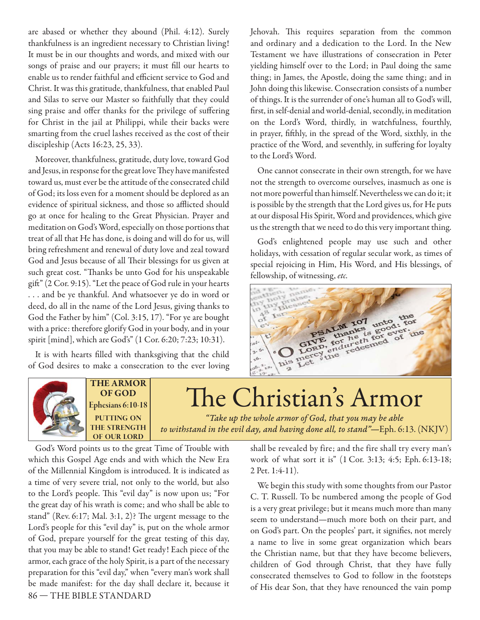are abased or whether they abound (Phil. 4:12). Surely thankfulness is an ingredient necessary to Christian living! It must be in our thoughts and words, and mixed with our songs of praise and our prayers; it must fill our hearts to enable us to render faithful and efficient service to God and Christ. It was this gratitude, thankfulness, that enabled Paul and Silas to serve our Master so faithfully that they could sing praise and offer thanks for the privilege of suffering for Christ in the jail at Philippi, while their backs were smarting from the cruel lashes received as the cost of their discipleship (Acts 16:23, 25, 33).

Moreover, thankfulness, gratitude, duty love, toward God and Jesus, in response for the great love They have manifested toward us, must ever be the attitude of the consecrated child of God; its loss even for a moment should be deplored as an evidence of spiritual sickness, and those so afflicted should go at once for healing to the Great Physician. Prayer and meditation on God's Word, especially on those portions that treat of all that He has done, is doing and will do for us, will bring refreshment and renewal of duty love and zeal toward God and Jesus because of all Their blessings for us given at such great cost. "Thanks be unto God for his unspeakable gift " (2 Cor. 9:15). "Let the peace of God rule in your hearts . . . and be ye thankful. And whatsoever ye do in word or deed, do all in the name of the Lord Jesus, giving thanks to God the Father by him" (Col. 3:15, 17). "For ye are bought with a price: therefore glorify God in your body, and in your spirit [mind], which are God's" (1 Cor. 6:20; 7:23; 10:31).

It is with hearts filled with thanksgiving that the child of God desires to make a consecration to the ever loving Jehovah. This requires separation from the common and ordinary and a dedication to the Lord. In the New Testament we have illustrations of consecration in Peter yielding himself over to the Lord; in Paul doing the same thing; in James, the Apostle, doing the same thing; and in John doing this likewise. Consecration consists of a number of things. It is the surrender of one's human all to God's will, first, in self-denial and world-denial, secondly, in meditation on the Lord's Word, thirdly, in watchfulness, fourthly, in prayer, fifthly, in the spread of the Word, sixthly, in the practice of the Word, and seventhly, in suffering for loyalty to the Lord's Word.

One cannot consecrate in their own strength, for we have not the strength to overcome ourselves, inasmuch as one is not more powerful than himself. Nevertheless we can do it; it is possible by the strength that the Lord gives us, for He puts at our disposal His Spirit, Word and providences, which give us the strength that we need to do this very important thing.

God's enlightened people may use such and other holidays, with cessation of regular secular work, as times of special rejoicing in Him, His Word, and His blessings, of fellowship, of witnessing, *etc.* 





**THE ARMOR OF GOD Ephesians 6:10-18 PUTTING ON THE STRENGTH OF OUR LORD**

The Christian's Armor

*"Take up the whole armor of God, that you may be able to withstand in the evil day, and having done all, to stand"—*Eph. 6:13. (NKJV)

86 — THE BIBLE STANDARD God's Word points us to the great Time of Trouble with which this Gospel Age ends and with which the New Era of the Millennial Kingdom is introduced. It is indicated as a time of very severe trial, not only to the world, but also to the Lord's people. This "evil day" is now upon us; "For the great day of his wrath is come; and who shall be able to stand" (Rev. 6:17; Mal. 3:1, 2)? The urgent message to the Lord's people for this "evil day" is, put on the whole armor of God, prepare yourself for the great testing of this day, that you may be able to stand! Get ready! Each piece of the armor, each grace of the holy Spirit, is a part of the necessary preparation for this "evil day," when "every man's work shall be made manifest: for the day shall declare it, because it shall be revealed by fire; and the fire shall try every man's work of what sort it is" (1 Cor. 3:13; 4:5; Eph. 6:13-18; 2 Pet. 1:4-11).

We begin this study with some thoughts from our Pastor C. T. Russell. To be numbered among the people of God is a very great privilege; but it means much more than many seem to understand—much more both on their part, and on God's part. On the peoples' part, it signifies, not merely a name to live in some great organization which bears the Christian name, but that they have become believers, children of God through Christ, that they have fully consecrated themselves to God to follow in the footsteps of His dear Son, that they have renounced the vain pomp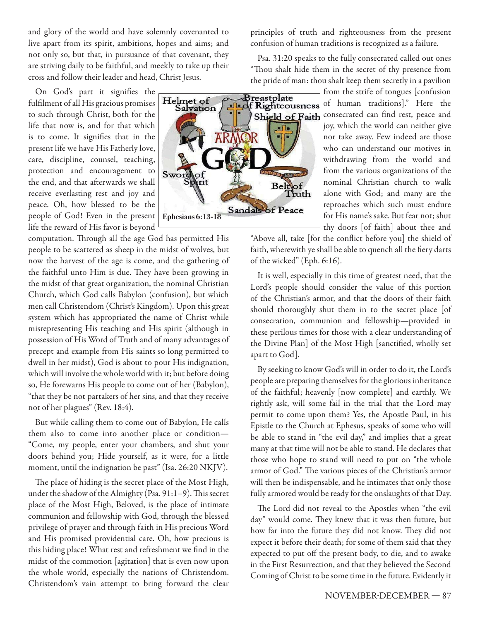and glory of the world and have solemnly covenanted to live apart from its spirit, ambitions, hopes and aims; and not only so, but that, in pursuance of that covenant, they are striving daily to be faithful, and meekly to take up their cross and follow their leader and head, Christ Jesus.

On God's part it signifies the fulfilment of all His gracious promises to such through Christ, both for the life that now is, and for that which is to come. It signifies that in the present life we have His Fatherly love, care, discipline, counsel, teaching, protection and encouragement to the end, and that afterwards we shall receive everlasting rest and joy and peace. Oh, how blessed to be the people of God! Even in the present life the reward of His favor is beyond

computation. Through all the age God has permitted His people to be scattered as sheep in the midst of wolves, but now the harvest of the age is come, and the gathering of the faithful unto Him is due. They have been growing in the midst of that great organization, the nominal Christian Church, which God calls Babylon (confusion), but which men call Christendom (Christ's Kingdom). Upon this great system which has appropriated the name of Christ while misrepresenting His teaching and His spirit (although in possession of His Word of Truth and of many advantages of precept and example from His saints so long permitted to dwell in her midst), God is about to pour His indignation, which will involve the whole world with it; but before doing so, He forewarns His people to come out of her (Babylon), "that they be not partakers of her sins, and that they receive not of her plagues" (Rev. 18:4).

But while calling them to come out of Babylon, He calls them also to come into another place or condition— "Come, my people, enter your chambers, and shut your doors behind you; Hide yourself, as it were, for a little moment, until the indignation be past" (Isa. 26:20 NKJV).

The place of hiding is the secret place of the Most High, under the shadow of the Almighty (Psa. 91:1-9). This secret place of the Most High, Beloved, is the place of intimate communion and fellowship with God, through the blessed privilege of prayer and through faith in His precious Word and His promised providential care. Oh, how precious is this hiding place! What rest and refreshment we find in the midst of the commotion [agitation] that is even now upon the whole world, especially the nations of Christendom. Christendom's vain attempt to bring forward the clear principles of truth and righteousness from the present confusion of human traditions is recognized as a failure.

Psa. 31:20 speaks to the fully consecrated called out ones "Thou shalt hide them in the secret of thy presence from the pride of man: thou shalt keep them secretly in a pavilion



from the strife of tongues [confusion of human traditions]." Here the consecrated can find rest, peace and joy, which the world can neither give nor take away. Few indeed are those who can understand our motives in withdrawing from the world and from the various organizations of the nominal Christian church to walk alone with God; and many are the reproaches which such must endure for His name's sake. But fear not; shut thy doors [of faith] about thee and

"Above all, take [for the conflict before you] the shield of faith, wherewith ye shall be able to quench all the fiery darts of the wicked" (Eph. 6:16).

It is well, especially in this time of greatest need, that the Lord's people should consider the value of this portion of the Christian's armor, and that the doors of their faith should thoroughly shut them in to the secret place [of consecration, communion and fellowship—provided in these perilous times for those with a clear understanding of the Divine Plan] of the Most High [sanctified, wholly set apart to God].

By seeking to know God's will in order to do it, the Lord's people are preparing themselves for the glorious inheritance of the faithful; heavenly [now complete] and earthly. We rightly ask, will some fail in the trial that the Lord may permit to come upon them? Yes, the Apostle Paul, in his Epistle to the Church at Ephesus, speaks of some who will be able to stand in "the evil day," and implies that a great many at that time will not be able to stand. He declares that those who hope to stand will need to put on "the whole armor of God." The various pieces of the Christian's armor will then be indispensable, and he intimates that only those fully armored would be ready for the onslaughts of that Day.

The Lord did not reveal to the Apostles when "the evil day" would come. They knew that it was then future, but how far into the future they did not know. They did not expect it before their death; for some of them said that they expected to put off the present body, to die, and to awake in the First Resurrection, and that they believed the Second Coming of Christ to be some time in the future. Evidently it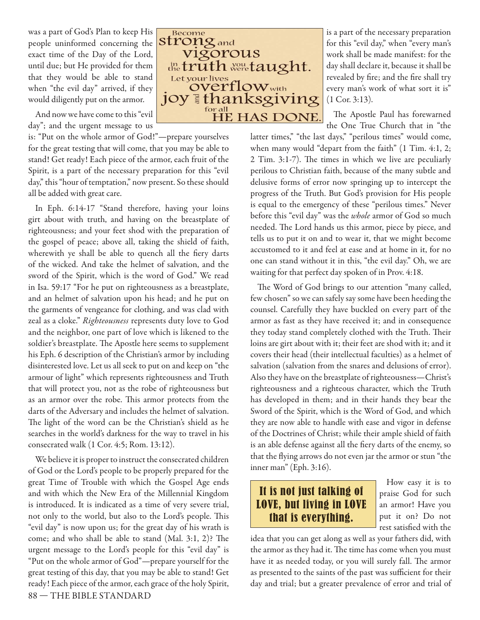was a part of God's Plan to keep His people uninformed concerning the exact time of the Day of the Lord, until due; but He provided for them that they would be able to stand when "the evil day" arrived, if they would diligently put on the armor.

And now we have come to this "evil day"; and the urgent message to us

is: "Put on the whole armor of God!"—prepare yourselves for the great testing that will come, that you may be able to stand! Get ready! Each piece of the armor, each fruit of the Spirit, is a part of the necessary preparation for this "evil day," this "hour of temptation," now present. So these should all be added with great care.

In Eph. 6:14-17 "Stand therefore, having your loins girt about with truth, and having on the breastplate of righteousness; and your feet shod with the preparation of the gospel of peace; above all, taking the shield of faith, wherewith ye shall be able to quench all the fiery darts of the wicked. And take the helmet of salvation, and the sword of the Spirit, which is the word of God." We read in Isa. 59:17 "For he put on righteousness as a breastplate, and an helmet of salvation upon his head; and he put on the garments of vengeance for clothing, and was clad with zeal as a cloke." *Righteousness* represents duty love to God and the neighbor, one part of love which is likened to the soldier's breastplate. The Apostle here seems to supplement his Eph. 6 description of the Christian's armor by including disinterested love. Let us all seek to put on and keep on "the armour of light" which represents righteousness and Truth that will protect you, not as the robe of righteousness but as an armor over the robe. This armor protects from the darts of the Adversary and includes the helmet of salvation. The light of the word can be the Christian's shield as he searches in the world's darkness for the way to travel in his consecrated walk (1 Cor. 4:5; Rom. 13:12).

88 — THE BIBLE STANDARD We believe it is proper to instruct the consecrated children of God or the Lord's people to be properly prepared for the great Time of Trouble with which the Gospel Age ends and with which the New Era of the Millennial Kingdom is introduced. It is indicated as a time of very severe trial, not only to the world, but also to the Lord's people. This "evil day" is now upon us; for the great day of his wrath is come; and who shall be able to stand (Mal.  $3:1$ , 2)? The urgent message to the Lord's people for this "evil day" is "Put on the whole armor of God"—prepare yourself for the great testing of this day, that you may be able to stand! Get ready! Each piece of the armor, each grace of the holy Spirit,



is a part of the necessary preparation for this "evil day," when "every man's work shall be made manifest: for the day shall declare it, because it shall be revealed by fire; and the fire shall try every man's work of what sort it is" (1 Cor. 3:13).

The Apostle Paul has forewarned the One True Church that in "the

latter times," "the last days," "perilous times" would come, when many would "depart from the faith" (1 Tim. 4:1, 2;  $2$  Tim.  $3:1-7$ ). The times in which we live are peculiarly perilous to Christian faith, because of the many subtle and delusive forms of error now springing up to intercept the progress of the Truth. But God's provision for His people is equal to the emergency of these "perilous times." Never before this "evil day" was the *whole* armor of God so much needed. The Lord hands us this armor, piece by piece, and tells us to put it on and to wear it, that we might become accustomed to it and feel at ease and at home in it, for no one can stand without it in this, "the evil day." Oh, we are waiting for that perfect day spoken of in Prov. 4:18.

The Word of God brings to our attention "many called, few chosen" so we can safely say some have been heeding the counsel. Carefully they have buckled on every part of the armor as fast as they have received it; and in consequence they today stand completely clothed with the Truth. Their loins are girt about with it; their feet are shod with it; and it covers their head (their intellectual faculties) as a helmet of salvation (salvation from the snares and delusions of error). Also they have on the breastplate of righteousness—Christ's righteousness and a righteous character, which the Truth has developed in them; and in their hands they bear the Sword of the Spirit, which is the Word of God, and which they are now able to handle with ease and vigor in defense of the Doctrines of Christ; while their ample shield of faith is an able defense against all the fiery darts of the enemy, so that the flying arrows do not even jar the armor or stun "the inner man" (Eph. 3:16).

## It is not just talking of LOVE, but living in LOVE that is everything.

How easy it is to praise God for such an armor! Have you put it on? Do not rest satisfied with the

idea that you can get along as well as your fathers did, with the armor as they had it. The time has come when you must have it as needed today, or you will surely fall. The armor as presented to the saints of the past was sufficient for their day and trial; but a greater prevalence of error and trial of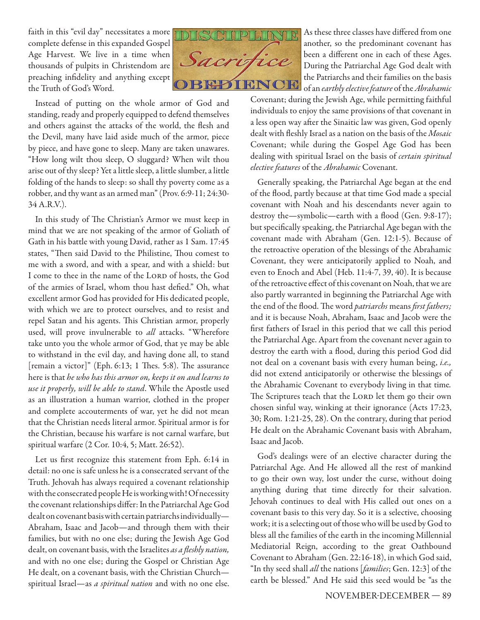faith in this "evil day" necessitates a more complete defense in this expanded Gospel Age Harvest. We live in a time when thousands of pulpits in Christendom are preaching infidelity and anything except the Truth of God's Word.



Instead of putting on the whole armor of God and standing, ready and properly equipped to defend themselves and others against the attacks of the world, the flesh and the Devil, many have laid aside much of the armor, piece by piece, and have gone to sleep. Many are taken unawares. "How long wilt thou sleep, O sluggard? When wilt thou arise out of thy sleep? Yet a little sleep, a little slumber, a little folding of the hands to sleep: so shall thy poverty come as a robber, and thy want as an armed man" (Prov. 6:9-11; 24:30- 34 A.R.V.).

In this study of The Christian's Armor we must keep in mind that we are not speaking of the armor of Goliath of Gath in his battle with young David, rather as 1 Sam. 17:45 states, "Then said David to the Philistine, Thou comest to me with a sword, and with a spear, and with a shield: but I come to thee in the name of the LORD of hosts, the God of the armies of Israel, whom thou hast defied." Oh, what excellent armor God has provided for His dedicated people, with which we are to protect ourselves, and to resist and repel Satan and his agents. This Christian armor, properly used, will prove invulnerable to *all* attacks. "Wherefore take unto you the whole armor of God, that ye may be able to withstand in the evil day, and having done all, to stand [remain a victor]" (Eph. 6:13; 1 Thes. 5:8). The assurance here is that *he who has this armor on, keeps it on and learns to use it properly, will be able to stand*. While the Apostle used as an illustration a human warrior, clothed in the proper and complete accouterments of war, yet he did not mean that the Christian needs literal armor. Spiritual armor is for the Christian, because his warfare is not carnal warfare, but spiritual warfare (2 Cor. 10:4, 5; Matt. 26:52).

Let us first recognize this statement from Eph. 6:14 in detail: no one is safe unless he is a consecrated servant of the Truth. Jehovah has always required a covenant relationship with the consecrated people He is working with! Of necessity the covenant relationships differ: In the Patriarchal Age God dealt on covenant basis with certain patriarchs individually— Abraham, Isaac and Jacob—and through them with their families, but with no one else; during the Jewish Age God dealt, on covenant basis, with the Israelites *as a fleshly nation*, and with no one else; during the Gospel or Christian Age He dealt, on a covenant basis, with the Christian Church spiritual Israel—as *a spiritual nation* and with no one else.

As these three classes have differed from one another, so the predominant covenant has been a different one in each of these Ages. During the Patriarchal Age God dealt with the Patriarchs and their families on the basis of an *earthly elective feature* of the *Abrahamic* 

Covenant; during the Jewish Age, while permitting faithful individuals to enjoy the same provisions of that covenant in a less open way after the Sinaitic law was given, God openly dealt with fleshly Israel as a nation on the basis of the Mosaic Covenant; while during the Gospel Age God has been dealing with spiritual Israel on the basis of *certain spiritual elective features* of the *Abrahamic* Covenant.

Generally speaking, the Patriarchal Age began at the end of the flood, partly because at that time God made a special covenant with Noah and his descendants never again to destroy the—symbolic—earth with a flood (Gen. 9:8-17); but specifically speaking, the Patriarchal Age began with the covenant made with Abraham (Gen. 12:1-5). Because of the retroactive operation of the blessings of the Abrahamic Covenant, they were anticipatorily applied to Noah, and even to Enoch and Abel (Heb. 11:4-7, 39, 40). It is because of the retroactive effect of this covenant on Noah, that we are also partly warranted in beginning the Patriarchal Age with the end of the flood. The word *patriarchs* means *first fathers;* and it is because Noah, Abraham, Isaac and Jacob were the first fathers of Israel in this period that we call this period the Patriarchal Age. Apart from the covenant never again to destroy the earth with a flood, during this period God did not deal on a covenant basis with every human being, *i.e.,*  did not extend anticipatorily or otherwise the blessings of the Abrahamic Covenant to everybody living in that time*.*  The Scriptures teach that the LORD let them go their own chosen sinful way, winking at their ignorance (Acts 17:23, 30; Rom. 1:21-25, 28). On the contrary, during that period He dealt on the Abrahamic Covenant basis with Abraham, Isaac and Jacob.

God's dealings were of an elective character during the Patriarchal Age. And He allowed all the rest of mankind to go their own way, lost under the curse, without doing anything during that time directly for their salvation. Jehovah continues to deal with His called out ones on a covenant basis to this very day. So it is a selective, choosing work; it is a selecting out of those who will be used by God to bless all the families of the earth in the incoming Millennial Mediatorial Reign, according to the great Oathbound Covenant to Abraham (Gen. 22:16-18), in which God said, "In thy seed shall *all* the nations [*families*; Gen. 12:3] of the earth be blessed." And He said this seed would be "as the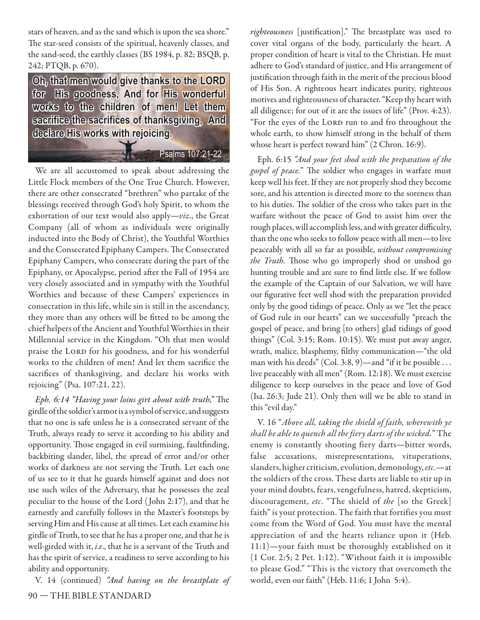stars of heaven, and as the sand which is upon the sea shore." The star-seed consists of the spiritual, heavenly classes, and the sand-seed, the earthly classes (BS 1984, p. 82; BSQB, p. 242; PTQB, p. 670).

Oh, that men would give thanks to the LORD for His goodness, And for His wonderful works to the children of men! Let them sacrifice the sacrifices of thanksgiving. And declare His works with rejoicing.

Psalms 107:21-22

We are all accustomed to speak about addressing the Little Flock members of the One True Church. However, there are other consecrated "brethren" who partake of the blessings received through God's holy Spirit, to whom the exhortation of our text would also apply—*viz*., the Great Company (all of whom as individuals were originally inducted into the Body of Christ), the Youthful Worthies and the Consecrated Epiphany Campers. The Consecrated Epiphany Campers, who consecrate during the part of the Epiphany, or Apocalypse, period after the Fall of 1954 are very closely associated and in sympathy with the Youthful Worthies and because of these Campers' experiences in consecration in this life, while sin is still in the ascendancy, they more than any others will be fitted to be among the chief helpers of the Ancient and Youthful Worthies in their Millennial service in the Kingdom. "Oh that men would praise the LORD for his goodness, and for his wonderful works to the children of men! And let them sacrifice the sacrifices of thanksgiving, and declare his works with rejoicing" (Psa. 107:21, 22).

*Eph. 6:14 "Having your loins girt about with truth,"* The girdle of the soldier's armor is a symbol of service, and suggests that no one is safe unless he is a consecrated servant of the Truth, always ready to serve it according to his ability and opportunity. Those engaged in evil surmising, faultfinding, backbiting slander, libel, the spread of error and/or other works of darkness are not serving the Truth. Let each one of us see to it that he guards himself against and does not use such wiles of the Adversary, that he possesses the zeal peculiar to the house of the Lord ( John 2:17), and that he earnestly and carefully follows in the Master's footsteps by serving Him and His cause at all times. Let each examine his girdle of Truth, to see that he has a proper one, and that he is well-girded with it, *i.e*., that he is a servant of the Truth and has the spirit of service, a readiness to serve according to his ability and opportunity.

90 — THE BIBLE STANDARD V. 14 (continued) *"And having on the breastplate of*  righteousness [justification]." The breastplate was used to cover vital organs of the body, particularly the heart. A proper condition of heart is vital to the Christian. He must adhere to God's standard of justice, and His arrangement of justification through faith in the merit of the precious blood of His Son. A righteous heart indicates purity, righteous motives and righteousness of character. "Keep thy heart with all diligence; for out of it are the issues of life" (Prov. 4:23). "For the eyes of the LORD run to and fro throughout the whole earth, to show himself strong in the behalf of them whose heart is perfect toward him" (2 Chron. 16:9).

Eph. 6:15 *"And your feet shod with the preparation of the*  gospel of peace." The soldier who engages in warfare must keep well his feet. If they are not properly shod they become sore, and his attention is directed more to the soreness than to his duties. The soldier of the cross who takes part in the warfare without the peace of God to assist him over the rough places, will accomplish less, and with greater difficulty, than the one who seeks to follow peace with all men—to live peaceably with all so far as possible, *without compromising*  the Truth. Those who go improperly shod or unshod go hunting trouble and are sure to find little else. If we follow the example of the Captain of our Salvation, we will have our figurative feet well shod with the preparation provided only by the good tidings of peace. Only as we "let the peace of God rule in our hearts" can we successfully "preach the gospel of peace, and bring [to others] glad tidings of good things" (Col. 3:15; Rom. 10:15). We must put away anger, wrath, malice, blasphemy, filthy communication—"the old man with his deeds" (Col. 3:8, 9)—and "if it be possible . . . live peaceably with all men" (Rom. 12:18). We must exercise diligence to keep ourselves in the peace and love of God (Isa. 26:3; Jude 21). Only then will we be able to stand in this "evil day."

V. 16 "*Above all, taking the shield of faith, wherewith ye shall be able to quench all the fiery darts of the wicked.*" The enemy is constantly shooting fiery darts—bitter words, false accusations, misrepresentations, vituperations, slanders, higher criticism, evolution, demonology, *etc*.—at the soldiers of the cross. These darts are liable to stir up in your mind doubts, fears, vengefulness, hatred, skepticism, discouragement, *etc*. "The shield of *the* [so the Greek] faith" is your protection. The faith that fortifies you must come from the Word of God. You must have the mental appreciation of and the hearts reliance upon it (Heb. 11:1)—your faith must be thoroughly established on it (1 Cor. 2:5; 2 Pet. 1:12). "Without faith it is impossible to please God." "This is the victory that overcometh the world, even our faith" (Heb. 11:6; 1 John 5:4).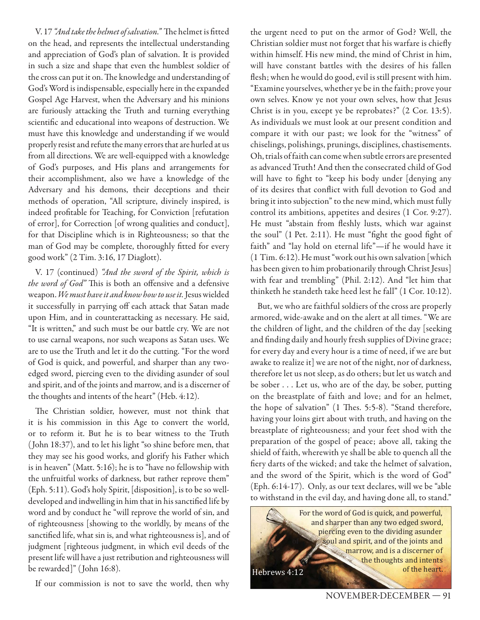V. 17 *"And take the helmet of salvation."* The helmet is fitted on the head, and represents the intellectual understanding and appreciation of God's plan of salvation. It is provided in such a size and shape that even the humblest soldier of the cross can put it on. The knowledge and understanding of God's Word is indispensable, especially here in the expanded Gospel Age Harvest, when the Adversary and his minions are furiously attacking the Truth and turning everything scientific and educational into weapons of destruction. We must have this knowledge and understanding if we would properly resist and refute the many errors that are hurled at us from all directions. We are well-equipped with a knowledge of God's purposes, and His plans and arrangements for their accomplishment, also we have a knowledge of the Adversary and his demons, their deceptions and their methods of operation, "All scripture, divinely inspired, is indeed profitable for Teaching, for Conviction [refutation of error], for Correction [of wrong qualities and conduct], for that Discipline which is in Righteousness; so that the man of God may be complete, thoroughly fitted for every good work" (2 Tim. 3:16, 17 Diaglott).

V. 17 (continued) *"And the sword of the Spirit, which is the word of God"* This is both an offensive and a defensive weapon. *We must have it and know how to use it.* Jesus wielded it successfully in parrying off each attack that Satan made upon Him, and in counterattacking as necessary. He said, "It is written," and such must be our battle cry. We are not to use carnal weapons, nor such weapons as Satan uses. We are to use the Truth and let it do the cutting. "For the word of God is quick, and powerful, and sharper than any twoedged sword, piercing even to the dividing asunder of soul and spirit, and of the joints and marrow, and is a discerner of the thoughts and intents of the heart" (Heb. 4:12).

The Christian soldier, however, must not think that it is his commission in this Age to convert the world, or to reform it. But he is to bear witness to the Truth ( John 18:37), and to let his light "so shine before men, that they may see his good works, and glorify his Father which is in heaven" (Matt. 5:16); he is to "have no fellowship with the unfruitful works of darkness, but rather reprove them" (Eph. 5:11). God's holy Spirit, [disposition], is to be so welldeveloped and indwelling in him that in his sanctified life by word and by conduct he "will reprove the world of sin, and of righteousness [showing to the worldly, by means of the sanctified life, what sin is, and what righteousness is], and of judgment [righteous judgment, in which evil deeds of the present life will have a just retribution and righteousness will be rewarded]" (John 16:8).

If our commission is not to save the world, then why

the urgent need to put on the armor of God? Well, the Christian soldier must not forget that his warfare is chiefly within himself. His new mind, the mind of Christ in him, will have constant battles with the desires of his fallen flesh; when he would do good, evil is still present with him. "Examine yourselves, whether ye be in the faith; prove your own selves. Know ye not your own selves, how that Jesus Christ is in you, except ye be reprobates?" (2 Cor. 13:5). As individuals we must look at our present condition and compare it with our past; we look for the "witness" of chiselings, polishings, prunings, disciplines, chastisements. Oh, trials of faith can come when subtle errors are presented as advanced Truth! And then the consecrated child of God will have to fight to "keep his body under [denying any of its desires that conflict with full devotion to God and bring it into subjection" to the new mind, which must fully control its ambitions, appetites and desires (1 Cor. 9:27). He must "abstain from fleshly lusts, which war against the soul" (1 Pet. 2:11). He must "fight the good fight of faith" and "lay hold on eternal life"—if he would have it (1 Tim. 6:12). He must "work out his own salvation [which has been given to him probationarily through Christ Jesus] with fear and trembling" (Phil. 2:12). And "let him that thinketh he standeth take heed lest he fall" (1 Cor. 10:12).

But, we who are faithful soldiers of the cross are properly armored, wide-awake and on the alert at all times. "We are the children of light, and the children of the day [seeking and finding daily and hourly fresh supplies of Divine grace; for every day and every hour is a time of need, if we are but awake to realize it] we are not of the night, nor of darkness, therefore let us not sleep, as do others; but let us watch and be sober . . . Let us, who are of the day, be sober, putting on the breastplate of faith and love; and for an helmet, the hope of salvation" (1 Thes. 5:5-8). "Stand therefore, having your loins girt about with truth, and having on the breastplate of righteousness; and your feet shod with the preparation of the gospel of peace; above all, taking the shield of faith, wherewith ye shall be able to quench all the fiery darts of the wicked; and take the helmet of salvation, and the sword of the Spirit, which is the word of God" (Eph. 6:14-17). Only, as our text declares, will we be "able to withstand in the evil day, and having done all, to stand."

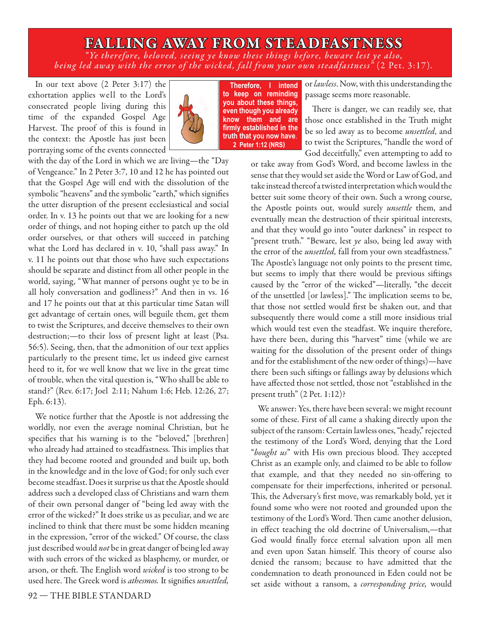## **FALLING AWAY FROM STEADFASTNESS**

*" Ye therefore, beloved , seeing ye know these things before, beware lest ye also, being led away with the error of the wicked, fall from your own steadfastness"* (2 Pet. 3:17)*.*

In our text above (2 Peter 3:17) the exhortation applies well to the Lord's consecrated people living during this time of the expanded Gospel Age Harvest. The proof of this is found in the context: the Apostle has just been portraying some of the events connected



Therefore, I intend to keep on reminding you about these things, even though you already know them and are firmly established in the truth that you now have. **)**

or *lawless*. Now, with this understanding the passage seems more reasonable.

There is danger, we can readily see, that those once established in the Truth might be so led away as to become *unsettled*, and to twist the Scriptures, "handle the word of God deceitfully," even attempting to add to

with the day of the Lord in which we are living—the "Day of Vengeance." In 2 Peter 3:7, 10 and 12 he has pointed out that the Gospel Age will end with the dissolution of the symbolic "heavens" and the symbolic "earth," which signifies the utter disruption of the present ecclesiastical and social order. In v. 13 he points out that we are looking for a new order of things, and not hoping either to patch up the old order ourselves, or that others will succeed in patching what the Lord has declared in v. 10, "shall pass away." In v. 11 he points out that those who have such expectations should be separate and distinct from all other people in the world, saying, "What manner of persons ought ye to be in all holy conversation and godliness?" And then in vs. 16 and 17 he points out that at this particular time Satan will get advantage of certain ones, will beguile them, get them to twist the Scriptures, and deceive themselves to their own destruction;—to their loss of present light at least (Psa. 56:5). Seeing, then, that the admonition of our text applies particularly to the present time, let us indeed give earnest heed to it, for we well know that we live in the great time of trouble, when the vital question is, "Who shall be able to stand?" (Rev. 6:17; Joel 2:11; Nahum 1:6; Heb. 12:26, 27; Eph. 6:13).

We notice further that the Apostle is not addressing the worldly, nor even the average nominal Christian, but he specifies that his warning is to the "beloved," [brethren] who already had attained to steadfastness. This implies that they had become rooted and grounded and built up, both in the knowledge and in the love of God; for only such ever become steadfast. Does it surprise us that the Apostle should address such a developed class of Christians and warn them of their own personal danger of "being led away with the error of the wicked?" It does strike us as peculiar, and we are inclined to think that there must be some hidden meaning in the expression, "error of the wicked." Of course, the class just described would *not* be in great danger of being led away with such errors of the wicked as blasphemy, or murder, or arson, or theft. The English word *wicked* is too strong to be used here. The Greek word is athesmos. It signifies unsettled,

or take away from God's Word, and become lawless in the sense that they would set aside the Word or Law of God, and take instead thereof a twisted interpretation which would the better suit some theory of their own. Such a wrong course, the Apostle points out, would surely *unsettle* them, and eventually mean the destruction of their spiritual interests, and that they would go into "outer darkness" in respect to "present truth." "Beware, lest *ye* also, being led away with the error of the *unsettled,* fall from your own steadfastness." The Apostle's language not only points to the present time, but seems to imply that there would be previous siftings caused by the "error of the wicked"—literally, "the deceit of the unsettled [or lawless]." The implication seems to be, that those not settled would first be shaken out, and that subsequently there would come a still more insidious trial which would test even the steadfast. We inquire therefore, have there been, during this "harvest" time (while we are waiting for the dissolution of the present order of things and for the establishment of the new order of things)—have there been such siftings or fallings away by delusions which have affected those not settled, those not "established in the present truth" (2 Pet. 1:12)?

We answer: Yes, there have been several: we might recount some of these. First of all came a shaking directly upon the subject of the ransom: Certain lawless ones, "heady," rejected the testimony of the Lord's Word, denying that the Lord "bought us" with His own precious blood. They accepted Christ as an example only, and claimed to be able to follow that example, and that they needed no sin-offering to compensate for their imperfections, inherited or personal. This, the Adversary's first move, was remarkably bold, yet it found some who were not rooted and grounded upon the testimony of the Lord's Word. Then came another delusion, in effect teaching the old doctrine of Universalism,-that God would finally force eternal salvation upon all men and even upon Satan himself. This theory of course also denied the ransom; because to have admitted that the condemnation to death pronounced in Eden could not be set aside without a ransom, a *corresponding price,* would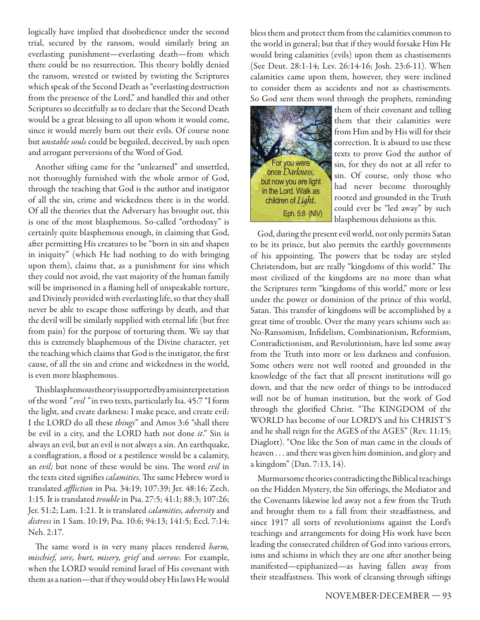logically have implied that disobedience under the second trial, secured by the ransom, would similarly bring an everlasting punishment—everlasting death—from which there could be no resurrection. This theory boldly denied the ransom, wrested or twisted by twisting the Scriptures which speak of the Second Death as "everlasting destruction from the presence of the Lord," and handled this and other Scriptures so deceitfully as to declare that the Second Death would be a great blessing to all upon whom it would come, since it would merely burn out their evils. Of course none but *unstable souls* could be beguiled, deceived, by such open and arrogant perversions of the Word of God.

Another sifting came for the "unlearned" and unsettled, not thoroughly furnished with the whole armor of God, through the teaching that God is the author and instigator of all the sin, crime and wickedness there is in the world. Of all the theories that the Adversary has brought out, this is one of the most blasphemous. So-called "orthodoxy" is certainly quite blasphemous enough, in claiming that God, after permitting His creatures to be "born in sin and shapen in iniquity" (which He had nothing to do with bringing upon them), claims that, as a punishment for sins which they could not avoid, the vast majority of the human family will be imprisoned in a flaming hell of unspeakable torture, and Divinely provided with everlasting life, so that they shall never be able to escape those sufferings by death, and that the devil will be similarly supplied with eternal life (but free from pain) for the purpose of torturing them. We say that this is extremely blasphemous of the Divine character, yet the teaching which claims that God is the instigator, the first cause, of all the sin and crime and wickedness in the world, is even more blasphemous.

This blasphemous theory is supported by a misinterpretation of the word *" evil "* in two texts, particularly Isa. 45:7 "I form the light, and create darkness: I make peace, and create evil: I the LORD do all these *things*" and Amos 3:6 "shall there be evil in a city, and the LORD hath not done *it*." Sin is always an evil, but an evil is not always a sin. An earthquake, a conflagration, a flood or a pestilence would be a calamity, an *evil*; but none of these would be sins. The word *evil* in the texts cited signifies *calamities*. The same Hebrew word is translated *affliction* in Psa. 34:19; 107:39; Jer. 48:16; Zech. 1:15. It is translated *trouble* in Psa. 27:5; 41:1; 88:3; 107:26; Jer. 51:2; Lam. 1:21. It is translated *calamities, adversity* and *distress* in 1 Sam. 10:19; Psa. 10:6; 94:13; 141:5; Eccl. 7:14; Neh. 2:17.

The same word is in very many places rendered *harm*, *mischief, sore, hurt, misery, grief* and *sorrow.* For example, when the LORD would remind Israel of His covenant with them as a nation—that if they would obey His laws He would bless them and protect them from the calamities common to the world in general; but that if they would forsake Him He would bring calamities (evils) upon them as chastisements (See Deut. 28:1-14; Lev. 26:14-16; Josh. 23:6-11). When calamities came upon them, however, they were inclined to consider them as accidents and not as chastisements. So God sent them word through the prophets, reminding



them of their covenant and telling them that their calamities were from Him and by His will for their correction. It is absurd to use these texts to prove God the author of sin, for they do not at all refer to sin. Of course, only those who had never become thoroughly rooted and grounded in the Truth could ever be "led away" by such blasphemous delusions as this.

God, during the present evil world, not only permits Satan to be its prince, but also permits the earthly governments of his appointing. The powers that be today are styled Christendom, but are really "kingdoms of this world." The most civilized of the kingdoms are no more than what the Scriptures term "kingdoms of this world," more or less under the power or dominion of the prince of this world, Satan. This transfer of kingdoms will be accomplished by a great time of trouble. Over the many years schisms such as: No-Ransomism, Infidelism, Combinationism, Reformism, Contradictionism, and Revolutionism, have led some away from the Truth into more or less darkness and confusion. Some others were not well rooted and grounded in the knowledge of the fact that all present institutions will go down, and that the new order of things to be introduced will not be of human institution, but the work of God through the glorified Christ. "The KINGDOM of the WORLD has become of our LORD'S and his CHRIST'S and he shall reign for the AGES of the AGES" (Rev. 11:15; Diaglott). "One like the Son of man came in the clouds of heaven . . . and there was given him dominion, and glory and a kingdom" (Dan. 7:13, 14).

Murmursome theories contradicting the Biblical teachings on the Hidden Mystery, the Sin offerings, the Mediator and the Covenants likewise led away not a few from the Truth and brought them to a fall from their steadfastness, and since 1917 all sorts of revolutionisms against the Lord's teachings and arrangements for doing His work have been leading the consecrated children of God into various errors, isms and schisms in which they are one after another being manifested—epiphanized—as having fallen away from their steadfastness. This work of cleansing through siftings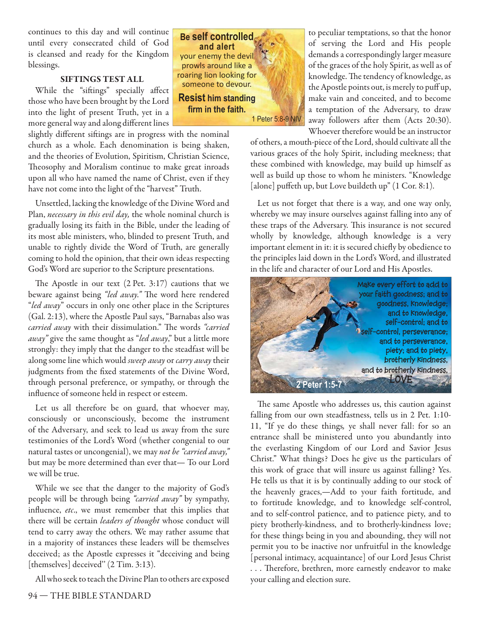continues to this day and will continue until every consecrated child of God is cleansed and ready for the Kingdom blessings.

#### **SIFTINGS TEST ALL**

While the "siftings" specially affect those who have been brought by the Lord into the light of present Truth, yet in a more general way and along different lines

slightly different siftings are in progress with the nominal church as a whole. Each denomination is being shaken, and the theories of Evolution, Spiritism, Christian Science, Theosophy and Moralism continue to make great inroads upon all who have named the name of Christ, even if they have not come into the light of the "harvest" Truth.

Unsettled, lacking the knowledge of the Divine Word and Plan, *necessary in this evil day,* the whole nominal church is gradually losing its faith in the Bible, under the leading of its most able ministers, who, blinded to present Truth, and unable to rightly divide the Word of Truth, are generally coming to hold the opinion, that their own ideas respecting God's Word are superior to the Scripture presentations.

The Apostle in our text  $(2$  Pet. 3:17) cautions that we beware against being "led away." The word here rendered "*led away*" occurs in only one other place in the Scriptures (Gal. 2:13), where the Apostle Paul says, "Barnabas also was *carried away* with their dissimulation." The words "carried *away"* give the same thought as "*led away*," but a little more strongly: they imply that the danger to the steadfast will be along some line which would *sweep away* or *carry away* their judgments from the fixed statements of the Divine Word, through personal preference, or sympathy, or through the influence of someone held in respect or esteem.

Let us all therefore be on guard, that whoever may, consciously or unconsciously, become the instrument of the Adversary, and seek to lead us away from the sure testimonies of the Lord's Word (whether congenial to our natural tastes or uncongenial), we may *not be "carried away,"*  but may be more determined than ever that— To our Lord we will be true.

While we see that the danger to the majority of God's people will be through being *"carried away"* by sympathy, influence, *etc.*, we must remember that this implies that there will be certain *leaders of thought* whose conduct will tend to carry away the others. We may rather assume that in a majority of instances these leaders will be themselves deceived; as the Apostle expresses it "deceiving and being [themselves] deceived" (2 Tim. 3:13).

All who seek to teach the Divine Plan to others are exposed



to peculiar temptations, so that the honor of serving the Lord and His people demands a correspondingly larger measure of the graces of the holy Spirit, as well as of knowledge. The tendency of knowledge, as the Apostle points out, is merely to puff up, make vain and conceited, and to become a temptation of the Adversary, to draw away followers after them (Acts 20:30). Whoever therefore would be an instructor

of others, a mouth-piece of the Lord, should cultivate all the various graces of the holy Spirit, including meekness; that these combined with knowledge, may build up himself as well as build up those to whom he ministers. "Knowledge [alone] puffeth up, but Love buildeth up" (1 Cor. 8:1).

Let us not forget that there is a way, and one way only, whereby we may insure ourselves against falling into any of these traps of the Adversary. This insurance is not secured wholly by knowledge, although knowledge is a very important element in it: it is secured chiefly by obedience to the principles laid down in the Lord's Word, and illustrated in the life and character of our Lord and His Apostles.



The same Apostle who addresses us, this caution against falling from our own steadfastness, tells us in 2 Pet. 1:10- 11, "If ye do these things*,* ye shall never fall: for so an entrance shall be ministered unto you abundantly into the everlasting Kingdom of our Lord and Savior Jesus Christ." What things? Does he give us the particulars of this work of grace that will insure us against falling? Yes. He tells us that it is by continually adding to our stock of the heavenly graces,—Add to your faith fortitude, and to fortitude knowledge, and to knowledge self-control, and to self-control patience, and to patience piety, and to piety brotherly-kindness, and to brotherly-kindness love; for these things being in you and abounding, they will not permit you to be inactive nor unfruitful in the knowledge [personal intimacy, acquaintance] of our Lord Jesus Christ ... Therefore, brethren, more earnestly endeavor to make your calling and election sure.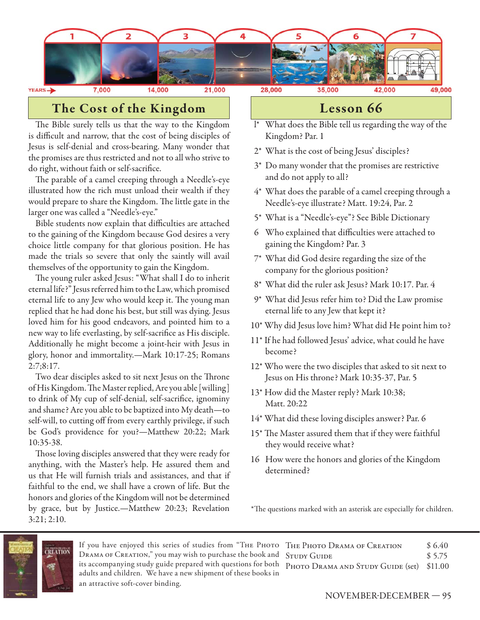

## **The Cost of the Kingdom**

The Bible surely tells us that the way to the Kingdom is difficult and narrow, that the cost of being disciples of Jesus is self-denial and cross-bearing. Many wonder that the promises are thus restricted and not to all who strive to do right, without faith or self-sacrifice.

The parable of a camel creeping through a Needle's-eye illustrated how the rich must unload their wealth if they would prepare to share the Kingdom. The little gate in the larger one was called a "Needle's-eye."

Bible students now explain that difficulties are attached to the gaining of the Kingdom because God desires a very choice little company for that glorious position. He has made the trials so severe that only the saintly will avail themselves of the opportunity to gain the Kingdom.

The young ruler asked Jesus: "What shall I do to inherit eternal life?" Jesus referred him to the Law, which promised eternal life to any Jew who would keep it. The young man replied that he had done his best, but still was dying. Jesus loved him for his good endeavors, and pointed him to a new way to life everlasting, by self-sacrifice as His disciple. Additionally he might become a joint-heir with Jesus in glory, honor and immortality.—Mark 10:17-25; Romans 2:7;8:17.

Two dear disciples asked to sit next Jesus on the Throne of His Kingdom. The Master replied, Are you able [willing] to drink of My cup of self-denial, self-sacrifice, ignominy and shame? Are you able to be baptized into My death—to self-will, to cutting off from every earthly privilege, if such be God's providence for you?—Matthew 20:22; Mark 10:35-38.

Those loving disciples answered that they were ready for anything, with the Master's help. He assured them and us that He will furnish trials and assistances, and that if faithful to the end, we shall have a crown of life. But the honors and glories of the Kingdom will not be determined by grace, but by Justice.—Matthew 20:23; Revelation 3:21; 2:10.

### **Lesson 66**

- l\* What does the Bible tell us regarding the way of the Kingdom? Par. 1
- 2\* What is the cost of being Jesus' disciples?
- 3\* Do many wonder that the promises are restrictive and do not apply to all?
- 4\* What does the parable of a camel creeping through a Needle's-eye illustrate? Matt. 19:24, Par. 2
- 5\* What is a "Needle's-eye"? See Bible Dictionary
- 6 Who explained that difficulties were attached to gaining the Kingdom? Par. 3
- 7\* What did God desire regarding the size of the company for the glorious position?
- 8\* What did the ruler ask Jesus? Mark 10:17. Par. 4
- 9\* What did Jesus refer him to? Did the Law promise eternal life to any Jew that kept it?
- 10\* Why did Jesus love him? What did He point him to?
- 11\* If he had followed Jesus' advice, what could he have become?
- 12\* Who were the two disciples that asked to sit next to Jesus on His throne? Mark 10:35-37, Par. 5
- 13\* How did the Master reply? Mark 10:38; Matt. 20:22
- 14\* What did these loving disciples answer? Par. 6
- 15\* The Master assured them that if they were faithful they would receive what?
- 16 How were the honors and glories of the Kingdom determined?

\*The questions marked with an asterisk are especially for children.



If you have enjoyed this series of studies from "Тне Рното Тне Рното Drama ог Creation \$ 6.40 Drama of Creation," you may wish to purchase the book and STUDY GUIDE \$5.75 its accompanying study guide prepared with questions for both PHOTO DRAMA AND STUDY GUIDE (set) \$11.00 adults and children. We have a new shipment of these books in an attractive soft-cover binding.